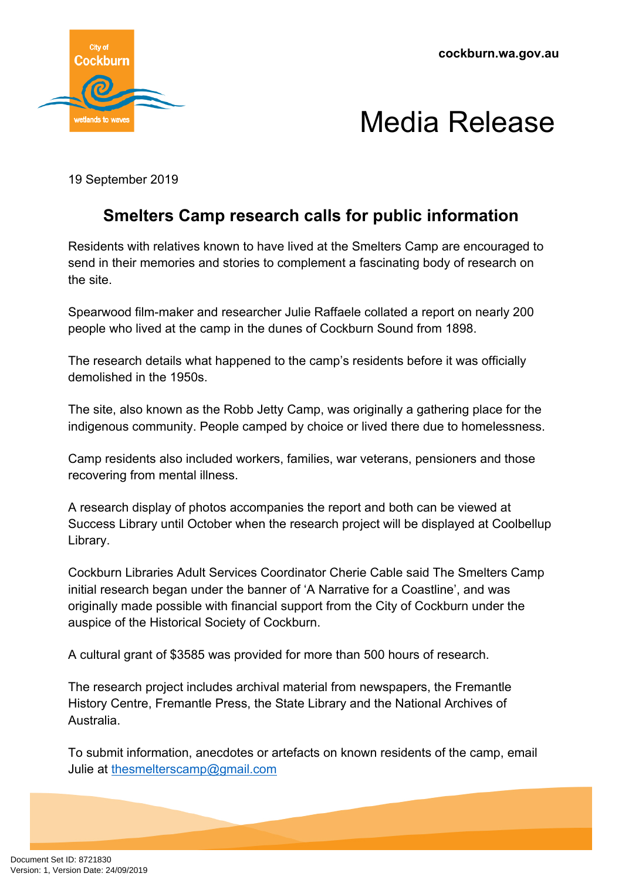**cockburn.wa.gov.au**





19 September 2019

## **Smelters Camp research calls for public information**

Residents with relatives known to have lived at the Smelters Camp are encouraged to send in their memories and stories to complement a fascinating body of research on the site.

Spearwood film-maker and researcher Julie Raffaele collated a report on nearly 200 people who lived at the camp in the dunes of Cockburn Sound from 1898.

The research details what happened to the camp's residents before it was officially demolished in the 1950s.

The site, also known as the Robb Jetty Camp, was originally a gathering place for the indigenous community. People camped by choice or lived there due to homelessness.

Camp residents also included workers, families, war veterans, pensioners and those recovering from mental illness.

A research display of photos accompanies the report and both can be viewed at Success Library until October when the research project will be displayed at Coolbellup Library.

Cockburn Libraries Adult Services Coordinator Cherie Cable said The Smelters Camp initial research began under the banner of 'A Narrative for a Coastline', and was originally made possible with financial support from the City of Cockburn under the auspice of the Historical Society of Cockburn.

A cultural grant of \$3585 was provided for more than 500 hours of research.

The research project includes archival material from newspapers, the Fremantle History Centre, Fremantle Press, the State Library and the National Archives of Australia.

To submit information, anecdotes or artefacts on known residents of the camp, email Julie at [thesmelterscamp@gmail.com](mailto:thesmelterscamp@gmail.com)